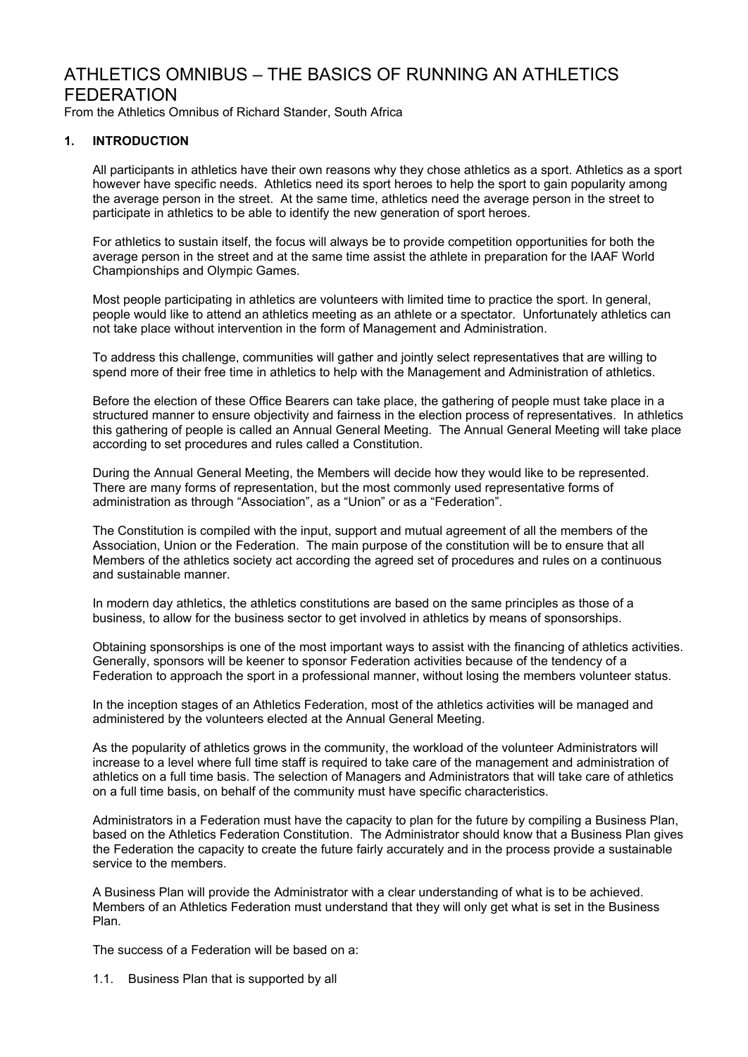# ATHLETICS OMNIBUS – THE BASICS OF RUNNING AN ATHLETICS FEDERATION

From the Athletics Omnibus of Richard Stander, South Africa

## **1. INTRODUCTION**

All participants in athletics have their own reasons why they chose athletics as a sport. Athletics as a sport however have specific needs. Athletics need its sport heroes to help the sport to gain popularity among the average person in the street. At the same time, athletics need the average person in the street to participate in athletics to be able to identify the new generation of sport heroes.

For athletics to sustain itself, the focus will always be to provide competition opportunities for both the average person in the street and at the same time assist the athlete in preparation for the IAAF World Championships and Olympic Games.

Most people participating in athletics are volunteers with limited time to practice the sport. In general, people would like to attend an athletics meeting as an athlete or a spectator. Unfortunately athletics can not take place without intervention in the form of Management and Administration.

To address this challenge, communities will gather and jointly select representatives that are willing to spend more of their free time in athletics to help with the Management and Administration of athletics.

Before the election of these Office Bearers can take place, the gathering of people must take place in a structured manner to ensure objectivity and fairness in the election process of representatives. In athletics this gathering of people is called an Annual General Meeting. The Annual General Meeting will take place according to set procedures and rules called a Constitution.

During the Annual General Meeting, the Members will decide how they would like to be represented. There are many forms of representation, but the most commonly used representative forms of administration as through "Association", as a "Union" or as a "Federation".

The Constitution is compiled with the input, support and mutual agreement of all the members of the Association, Union or the Federation. The main purpose of the constitution will be to ensure that all Members of the athletics society act according the agreed set of procedures and rules on a continuous and sustainable manner.

In modern day athletics, the athletics constitutions are based on the same principles as those of a business, to allow for the business sector to get involved in athletics by means of sponsorships.

Obtaining sponsorships is one of the most important ways to assist with the financing of athletics activities. Generally, sponsors will be keener to sponsor Federation activities because of the tendency of a Federation to approach the sport in a professional manner, without losing the members volunteer status.

In the inception stages of an Athletics Federation, most of the athletics activities will be managed and administered by the volunteers elected at the Annual General Meeting.

As the popularity of athletics grows in the community, the workload of the volunteer Administrators will increase to a level where full time staff is required to take care of the management and administration of athletics on a full time basis. The selection of Managers and Administrators that will take care of athletics on a full time basis, on behalf of the community must have specific characteristics.

Administrators in a Federation must have the capacity to plan for the future by compiling a Business Plan, based on the Athletics Federation Constitution. The Administrator should know that a Business Plan gives the Federation the capacity to create the future fairly accurately and in the process provide a sustainable service to the members.

A Business Plan will provide the Administrator with a clear understanding of what is to be achieved. Members of an Athletics Federation must understand that they will only get what is set in the Business Plan.

The success of a Federation will be based on a:

1.1. Business Plan that is supported by all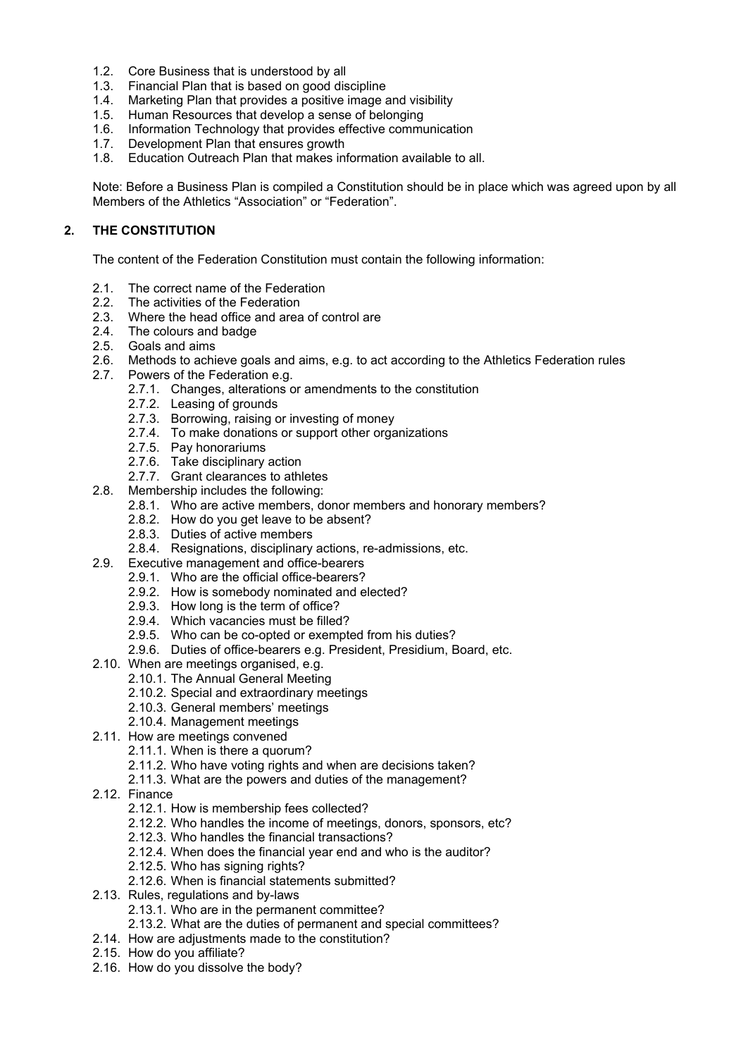- 1.2. Core Business that is understood by all
- 1.3. Financial Plan that is based on good discipline
- 1.4. Marketing Plan that provides a positive image and visibility
- 1.5. Human Resources that develop a sense of belonging
- 1.6. Information Technology that provides effective communication
- 1.7. Development Plan that ensures growth
- 1.8. Education Outreach Plan that makes information available to all.

Note: Before a Business Plan is compiled a Constitution should be in place which was agreed upon by all Members of the Athletics "Association" or "Federation".

## **2. THE CONSTITUTION**

The content of the Federation Constitution must contain the following information:

- 2.1. The correct name of the Federation
- 2.2. The activities of the Federation
- 2.3. Where the head office and area of control are
- 2.4. The colours and badge
- 2.5. Goals and aims
- 2.6. Methods to achieve goals and aims, e.g. to act according to the Athletics Federation rules
- 2.7. Powers of the Federation e.g.
	- 2.7.1. Changes, alterations or amendments to the constitution
		- 2.7.2. Leasing of grounds
		- 2.7.3. Borrowing, raising or investing of money
		- 2.7.4. To make donations or support other organizations
		- 2.7.5. Pay honorariums
		- 2.7.6. Take disciplinary action
		- 2.7.7. Grant clearances to athletes
- 2.8. Membership includes the following:
	- 2.8.1. Who are active members, donor members and honorary members?
	- 2.8.2. How do you get leave to be absent?
	- 2.8.3. Duties of active members
	- 2.8.4. Resignations, disciplinary actions, re-admissions, etc.
- 2.9. Executive management and office-bearers
	- 2.9.1. Who are the official office-bearers?
	- 2.9.2. How is somebody nominated and elected?
	- 2.9.3. How long is the term of office?
	- 2.9.4. Which vacancies must be filled?
	- 2.9.5. Who can be co-opted or exempted from his duties?
	- 2.9.6. Duties of office-bearers e.g. President, Presidium, Board, etc.
- 2.10. When are meetings organised, e.g.
	- 2.10.1. The Annual General Meeting
	- 2.10.2. Special and extraordinary meetings
	- 2.10.3. General members' meetings
	- 2.10.4. Management meetings
- 2.11. How are meetings convened
	- 2.11.1. When is there a quorum?
	- 2.11.2. Who have voting rights and when are decisions taken?
	- 2.11.3. What are the powers and duties of the management?
- 2.12. Finance
	- 2.12.1. How is membership fees collected?
	- 2.12.2. Who handles the income of meetings, donors, sponsors, etc?
	- 2.12.3. Who handles the financial transactions?
	- 2.12.4. When does the financial year end and who is the auditor?
	- 2.12.5. Who has signing rights?
	- 2.12.6. When is financial statements submitted?
- 2.13. Rules, regulations and by-laws
	- 2.13.1. Who are in the permanent committee?
	- 2.13.2. What are the duties of permanent and special committees?
- 2.14. How are adjustments made to the constitution?
- 2.15. How do you affiliate?
- 2.16. How do you dissolve the body?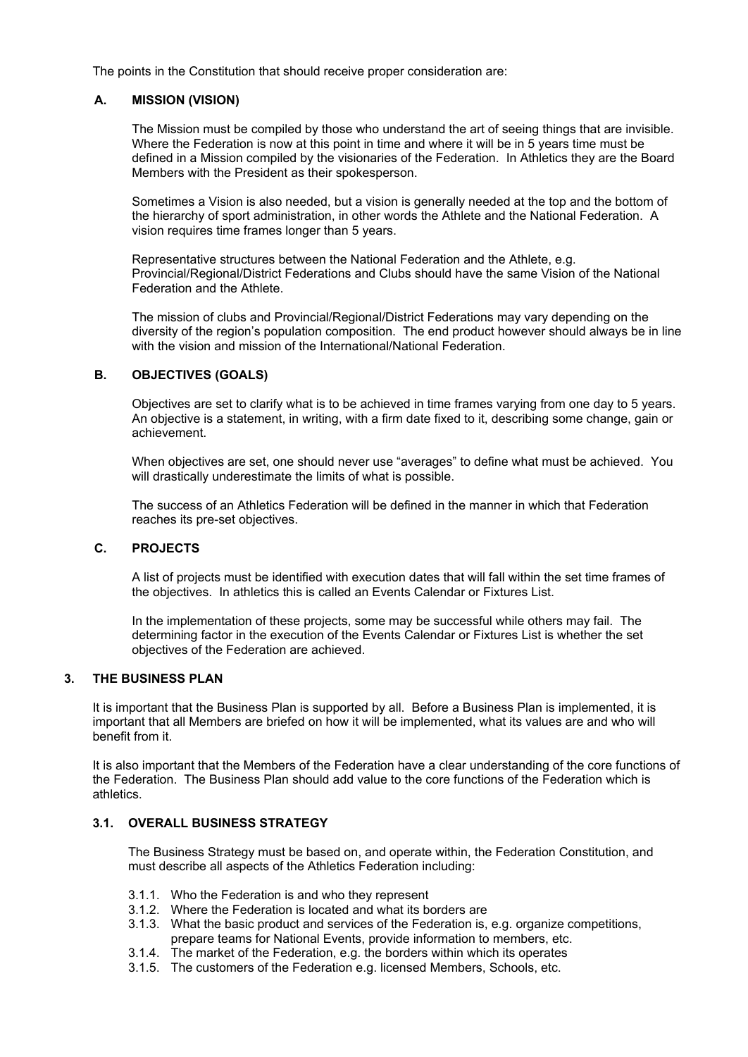The points in the Constitution that should receive proper consideration are:

## **A. MISSION (VISION)**

The Mission must be compiled by those who understand the art of seeing things that are invisible. Where the Federation is now at this point in time and where it will be in 5 years time must be defined in a Mission compiled by the visionaries of the Federation. In Athletics they are the Board Members with the President as their spokesperson.

Sometimes a Vision is also needed, but a vision is generally needed at the top and the bottom of the hierarchy of sport administration, in other words the Athlete and the National Federation. A vision requires time frames longer than 5 years.

Representative structures between the National Federation and the Athlete, e.g. Provincial/Regional/District Federations and Clubs should have the same Vision of the National Federation and the Athlete.

The mission of clubs and Provincial/Regional/District Federations may vary depending on the diversity of the region's population composition. The end product however should always be in line with the vision and mission of the International/National Federation.

## **B. OBJECTIVES (GOALS)**

Objectives are set to clarify what is to be achieved in time frames varying from one day to 5 years. An objective is a statement, in writing, with a firm date fixed to it, describing some change, gain or achievement.

When objectives are set, one should never use "averages" to define what must be achieved. You will drastically underestimate the limits of what is possible.

The success of an Athletics Federation will be defined in the manner in which that Federation reaches its pre-set objectives.

#### **C. PROJECTS**

A list of projects must be identified with execution dates that will fall within the set time frames of the objectives. In athletics this is called an Events Calendar or Fixtures List.

In the implementation of these projects, some may be successful while others may fail. The determining factor in the execution of the Events Calendar or Fixtures List is whether the set objectives of the Federation are achieved.

## **3. THE BUSINESS PLAN**

It is important that the Business Plan is supported by all. Before a Business Plan is implemented, it is important that all Members are briefed on how it will be implemented, what its values are and who will benefit from it.

It is also important that the Members of the Federation have a clear understanding of the core functions of the Federation. The Business Plan should add value to the core functions of the Federation which is athletics.

## **3.1. OVERALL BUSINESS STRATEGY**

The Business Strategy must be based on, and operate within, the Federation Constitution, and must describe all aspects of the Athletics Federation including:

- 3.1.1. Who the Federation is and who they represent
- 3.1.2. Where the Federation is located and what its borders are
- 3.1.3. What the basic product and services of the Federation is, e.g. organize competitions, prepare teams for National Events, provide information to members, etc.
- 3.1.4. The market of the Federation, e.g. the borders within which its operates
- 3.1.5. The customers of the Federation e.g. licensed Members, Schools, etc.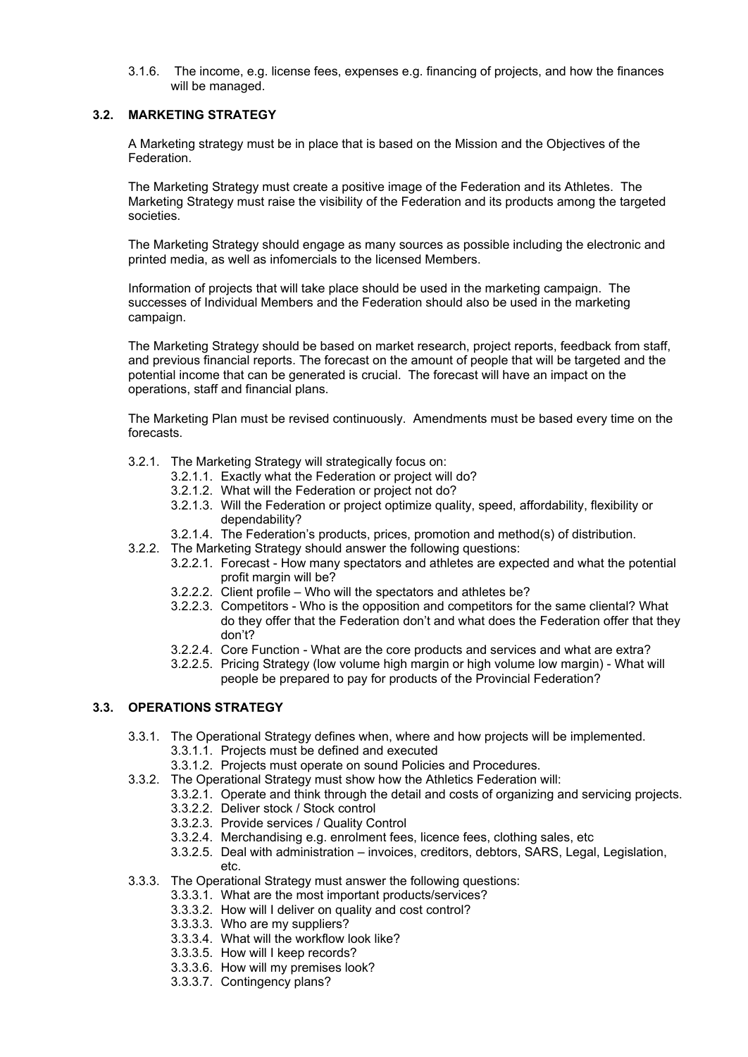3.1.6. The income, e.g. license fees, expenses e.g. financing of projects, and how the finances will be managed.

## **3.2. MARKETING STRATEGY**

A Marketing strategy must be in place that is based on the Mission and the Objectives of the Federation.

The Marketing Strategy must create a positive image of the Federation and its Athletes. The Marketing Strategy must raise the visibility of the Federation and its products among the targeted societies.

The Marketing Strategy should engage as many sources as possible including the electronic and printed media, as well as infomercials to the licensed Members.

Information of projects that will take place should be used in the marketing campaign. The successes of Individual Members and the Federation should also be used in the marketing campaign.

The Marketing Strategy should be based on market research, project reports, feedback from staff, and previous financial reports. The forecast on the amount of people that will be targeted and the potential income that can be generated is crucial. The forecast will have an impact on the operations, staff and financial plans.

The Marketing Plan must be revised continuously. Amendments must be based every time on the forecasts.

- 3.2.1. The Marketing Strategy will strategically focus on:
	- 3.2.1.1. Exactly what the Federation or project will do?
	- 3.2.1.2. What will the Federation or project not do?
	- 3.2.1.3. Will the Federation or project optimize quality, speed, affordability, flexibility or dependability?
	- 3.2.1.4. The Federation's products, prices, promotion and method(s) of distribution.
- 3.2.2. The Marketing Strategy should answer the following questions:
	- 3.2.2.1. Forecast How many spectators and athletes are expected and what the potential profit margin will be?
		- 3.2.2.2. Client profile Who will the spectators and athletes be?
		- 3.2.2.3. Competitors Who is the opposition and competitors for the same cliental? What do they offer that the Federation don't and what does the Federation offer that they don't?
	- 3.2.2.4. Core Function What are the core products and services and what are extra?
	- 3.2.2.5. Pricing Strategy (low volume high margin or high volume low margin) What will people be prepared to pay for products of the Provincial Federation?

## **3.3. OPERATIONS STRATEGY**

- 3.3.1. The Operational Strategy defines when, where and how projects will be implemented.
	- 3.3.1.1. Projects must be defined and executed
	- 3.3.1.2. Projects must operate on sound Policies and Procedures.
- 3.3.2. The Operational Strategy must show how the Athletics Federation will:
	- 3.3.2.1. Operate and think through the detail and costs of organizing and servicing projects.
	- 3.3.2.2. Deliver stock / Stock control
	- 3.3.2.3. Provide services / Quality Control
	- 3.3.2.4. Merchandising e.g. enrolment fees, licence fees, clothing sales, etc
	- 3.3.2.5. Deal with administration invoices, creditors, debtors, SARS, Legal, Legislation, etc.
- 3.3.3. The Operational Strategy must answer the following questions:
	- 3.3.3.1. What are the most important products/services?
	- 3.3.3.2. How will I deliver on quality and cost control?
	- 3.3.3.3. Who are my suppliers?
	- 3.3.3.4. What will the workflow look like?
	- 3.3.3.5. How will I keep records?
	- 3.3.3.6. How will my premises look?
	- 3.3.3.7. Contingency plans?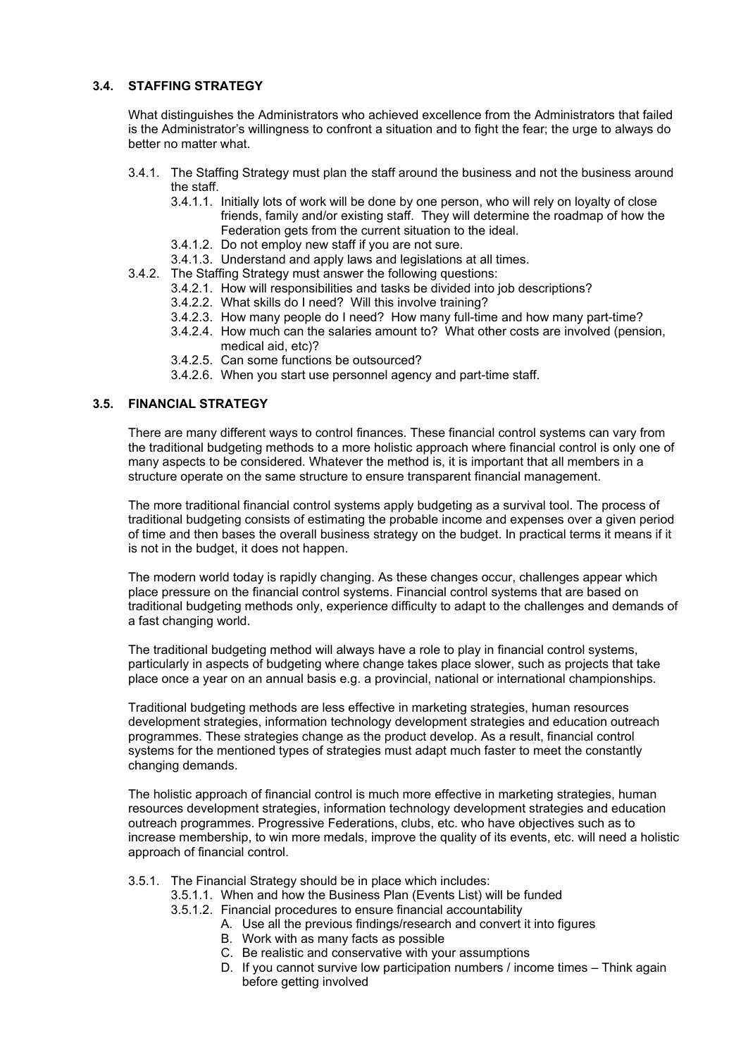## **3.4. STAFFING STRATEGY**

What distinguishes the Administrators who achieved excellence from the Administrators that failed is the Administrator's willingness to confront a situation and to fight the fear; the urge to always do better no matter what.

- 3.4.1. The Staffing Strategy must plan the staff around the business and not the business around the staff.
	- 3.4.1.1. Initially lots of work will be done by one person, who will rely on loyalty of close friends, family and/or existing staff. They will determine the roadmap of how the Federation gets from the current situation to the ideal.
	- 3.4.1.2. Do not employ new staff if you are not sure.
	- 3.4.1.3. Understand and apply laws and legislations at all times.
- 3.4.2. The Staffing Strategy must answer the following questions:
	- 3.4.2.1. How will responsibilities and tasks be divided into job descriptions?
	- 3.4.2.2. What skills do I need? Will this involve training?
	- 3.4.2.3. How many people do I need? How many full-time and how many part-time?
	- 3.4.2.4. How much can the salaries amount to? What other costs are involved (pension, medical aid, etc)?
	- 3.4.2.5. Can some functions be outsourced?
	- 3.4.2.6. When you start use personnel agency and part-time staff.

## **3.5. FINANCIAL STRATEGY**

There are many different ways to control finances. These financial control systems can vary from the traditional budgeting methods to a more holistic approach where financial control is only one of many aspects to be considered. Whatever the method is, it is important that all members in a structure operate on the same structure to ensure transparent financial management.

The more traditional financial control systems apply budgeting as a survival tool. The process of traditional budgeting consists of estimating the probable income and expenses over a given period of time and then bases the overall business strategy on the budget. In practical terms it means if it is not in the budget, it does not happen.

The modern world today is rapidly changing. As these changes occur, challenges appear which place pressure on the financial control systems. Financial control systems that are based on traditional budgeting methods only, experience difficulty to adapt to the challenges and demands of a fast changing world.

The traditional budgeting method will always have a role to play in financial control systems, particularly in aspects of budgeting where change takes place slower, such as projects that take place once a year on an annual basis e.g. a provincial, national or international championships.

Traditional budgeting methods are less effective in marketing strategies, human resources development strategies, information technology development strategies and education outreach programmes. These strategies change as the product develop. As a result, financial control systems for the mentioned types of strategies must adapt much faster to meet the constantly changing demands.

The holistic approach of financial control is much more effective in marketing strategies, human resources development strategies, information technology development strategies and education outreach programmes. Progressive Federations, clubs, etc. who have objectives such as to increase membership, to win more medals, improve the quality of its events, etc. will need a holistic approach of financial control.

- 3.5.1. The Financial Strategy should be in place which includes:
	- 3.5.1.1. When and how the Business Plan (Events List) will be funded
	- 3.5.1.2. Financial procedures to ensure financial accountability
		- A. Use all the previous findings/research and convert it into figures
			- B. Work with as many facts as possible
			- C. Be realistic and conservative with your assumptions
			- D. If you cannot survive low participation numbers / income times Think again before getting involved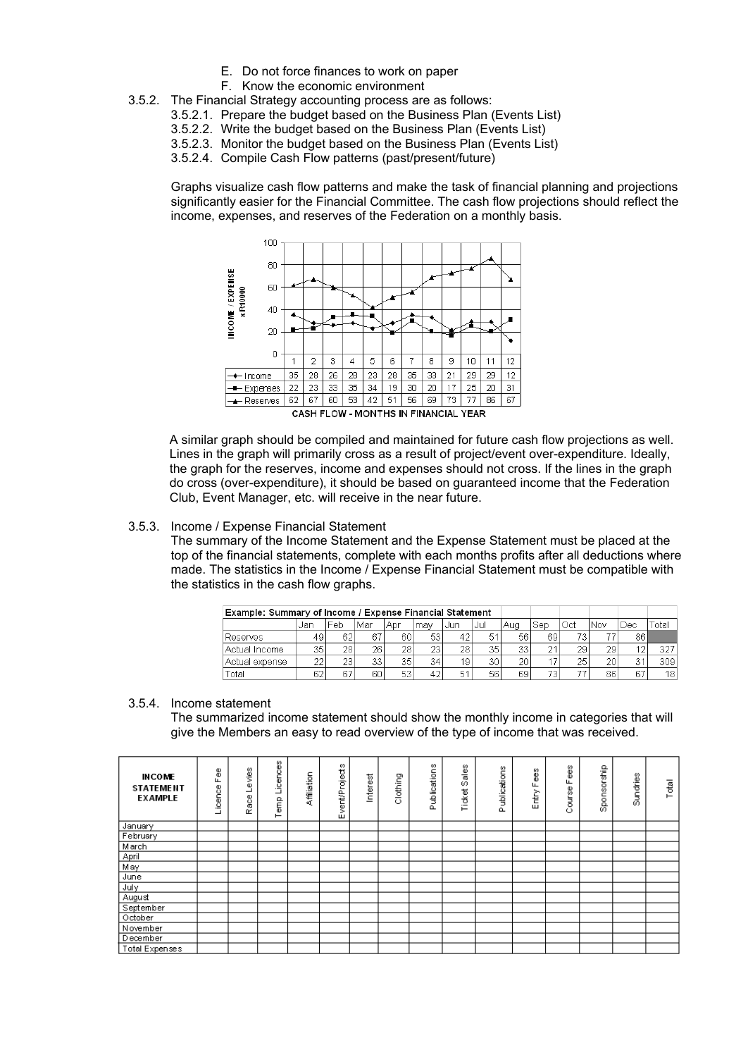- E. Do not force finances to work on paper
- F. Know the economic environment
- 3.5.2. The Financial Strategy accounting process are as follows:
	- 3.5.2.1. Prepare the budget based on the Business Plan (Events List)
	- 3.5.2.2. Write the budget based on the Business Plan (Events List)
	- 3.5.2.3. Monitor the budget based on the Business Plan (Events List)
	- 3.5.2.4. Compile Cash Flow patterns (past/present/future)

Graphs visualize cash flow patterns and make the task of financial planning and projections significantly easier for the Financial Committee. The cash flow projections should reflect the income, expenses, and reserves of the Federation on a monthly basis.



A similar graph should be compiled and maintained for future cash flow projections as well. Lines in the graph will primarily cross as a result of project/event over-expenditure. Ideally, the graph for the reserves, income and expenses should not cross. If the lines in the graph do cross (over-expenditure), it should be based on guaranteed income that the Federation Club, Event Manager, etc. will receive in the near future.

#### 3.5.3. Income / Expense Financial Statement

The summary of the Income Statement and the Expense Statement must be placed at the top of the financial statements, complete with each months profits after all deductions where made. The statistics in the Income / Expense Financial Statement must be compatible with the statistics in the cash flow graphs.

| Example: Summary of Income / Expense Financial Statement |     |     |     |     |      |       |         |    |           |          |     |                  |     |
|----------------------------------------------------------|-----|-----|-----|-----|------|-------|---------|----|-----------|----------|-----|------------------|-----|
|                                                          | Aua | Sep | Oct | Nov | IDec | -otal |         |    |           |          |     |                  |     |
| IReserves                                                | 49  | 62  | R7  | 60  | 53   | 42    | E.<br>◡ | 56 | 69        | 70       |     | 86 <sub>1</sub>  |     |
| <b>Actual Income</b>                                     | 35  | 28. | 261 | 28  | 23   | 28    | 35      | 33 | $\bigcap$ | 29       | 291 | $\Lambda$ $\sim$ | 327 |
| Actual expense                                           | 22  | 23  | 33  | 35  | 34   | 19    | 30      | 20 |           | つら<br>ZJ | 20  | 24<br>ر،         | 309 |
| Total                                                    | 62  | 67  | 601 | 53  | 42   | 51    | 56      | 69 | 73        |          | 86  | 67               | 181 |

#### 3.5.4. Income statement

The summarized income statement should show the monthly income in categories that will give the Members an easy to read overview of the type of income that was received.

| <b>INCOME</b><br><b>STATEMENT</b><br><b>EXAMPLE</b> | 8<br>ட<br>icence | vies<br>$\omega$<br>Race | Licences<br>Ê<br>⊢ | Affiliation | Event/Projects | Interest | Clothing | Publications | Sales<br>Ticket | ublications<br>a. | g<br>Щ<br>Entry | Fees<br>Course | Sponsorship | Sundries | Total |
|-----------------------------------------------------|------------------|--------------------------|--------------------|-------------|----------------|----------|----------|--------------|-----------------|-------------------|-----------------|----------------|-------------|----------|-------|
| January                                             |                  |                          |                    |             |                |          |          |              |                 |                   |                 |                |             |          |       |
| February                                            |                  |                          |                    |             |                |          |          |              |                 |                   |                 |                |             |          |       |
| March                                               |                  |                          |                    |             |                |          |          |              |                 |                   |                 |                |             |          |       |
| April                                               |                  |                          |                    |             |                |          |          |              |                 |                   |                 |                |             |          |       |
| May                                                 |                  |                          |                    |             |                |          |          |              |                 |                   |                 |                |             |          |       |
| June                                                |                  |                          |                    |             |                |          |          |              |                 |                   |                 |                |             |          |       |
| July                                                |                  |                          |                    |             |                |          |          |              |                 |                   |                 |                |             |          |       |
| August                                              |                  |                          |                    |             |                |          |          |              |                 |                   |                 |                |             |          |       |
| September                                           |                  |                          |                    |             |                |          |          |              |                 |                   |                 |                |             |          |       |
| October                                             |                  |                          |                    |             |                |          |          |              |                 |                   |                 |                |             |          |       |
| November                                            |                  |                          |                    |             |                |          |          |              |                 |                   |                 |                |             |          |       |
| December                                            |                  |                          |                    |             |                |          |          |              |                 |                   |                 |                |             |          |       |
| Total Expenses                                      |                  |                          |                    |             |                |          |          |              |                 |                   |                 |                |             |          |       |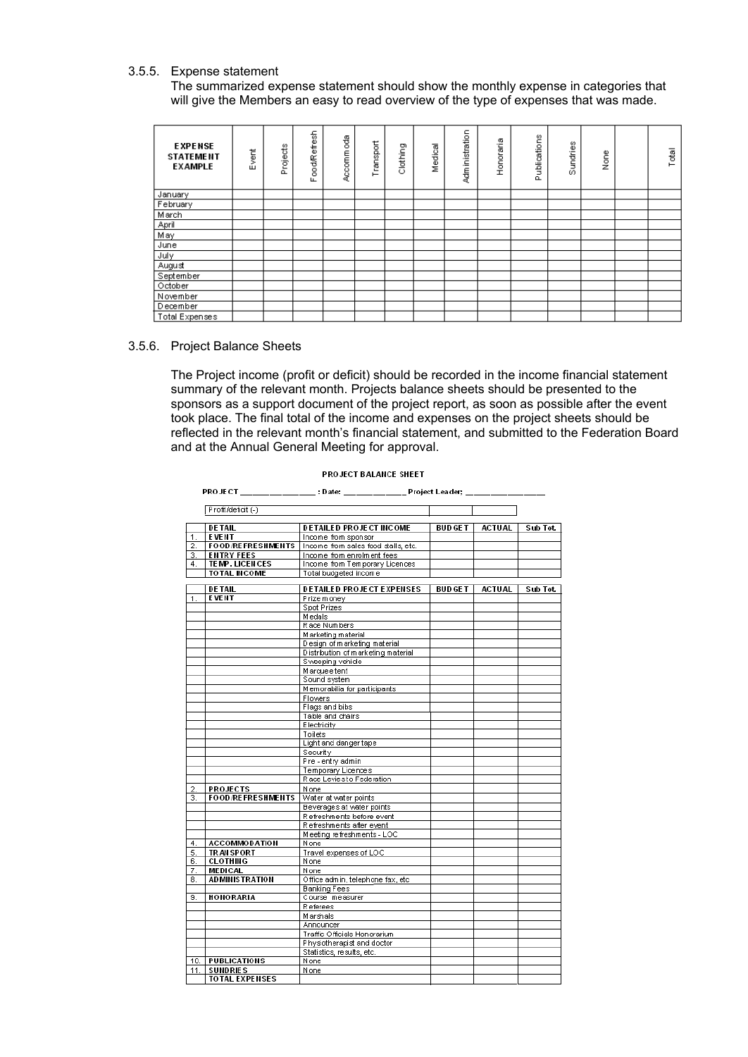### 3.5.5. Expense statement

The summarized expense statement should show the monthly expense in categories that will give the Members an easy to read overview of the type of expenses that was made.

| <b>EXPENSE</b><br><b>STATEMENT</b><br><b>EXAMPLE</b> | Event | Projects | ood/Refresh<br>Щ | Accommoda | Transport | Clothing | Medical | Administration | Honoraria | Publications | Sundries | None | Total |
|------------------------------------------------------|-------|----------|------------------|-----------|-----------|----------|---------|----------------|-----------|--------------|----------|------|-------|
| January                                              |       |          |                  |           |           |          |         |                |           |              |          |      |       |
| February                                             |       |          |                  |           |           |          |         |                |           |              |          |      |       |
| March                                                |       |          |                  |           |           |          |         |                |           |              |          |      |       |
| April                                                |       |          |                  |           |           |          |         |                |           |              |          |      |       |
| May                                                  |       |          |                  |           |           |          |         |                |           |              |          |      |       |
| June                                                 |       |          |                  |           |           |          |         |                |           |              |          |      |       |
| July                                                 |       |          |                  |           |           |          |         |                |           |              |          |      |       |
| August                                               |       |          |                  |           |           |          |         |                |           |              |          |      |       |
| September                                            |       |          |                  |           |           |          |         |                |           |              |          |      |       |
| October                                              |       |          |                  |           |           |          |         |                |           |              |          |      |       |
| November                                             |       |          |                  |           |           |          |         |                |           |              |          |      |       |
| December                                             |       |          |                  |           |           |          |         |                |           |              |          |      |       |
| Total Expenses                                       |       |          |                  |           |           |          |         |                |           |              |          |      |       |

#### 3.5.6. Project Balance Sheets

The Project income (profit or deficit) should be recorded in the income financial statement summary of the relevant month. Projects balance sheets should be presented to the sponsors as a support document of the project report, as soon as possible after the event took place. The final total of the income and expenses on the project sheets should be reflected in the relevant month's financial statement, and submitted to the Federation Board and at the Annual General Meeting for approval.

|     |                          | PROJECT ________________; Date: Project Leader; |          |               |          |
|-----|--------------------------|-------------------------------------------------|----------|---------------|----------|
|     |                          |                                                 |          |               |          |
|     | Profit/deficit (-)       |                                                 |          |               |          |
|     | <b>DETAIL</b>            | <b>DETAILED PROJECT INCOME</b>                  | BUD GE T | ACTUAL        | Sub Tot. |
| 1.  | <b>EVENT</b>             | Income from sponsor                             |          |               |          |
| 2.  | <b>FOOD/REFRESHMENTS</b> | Income from sales food stalls, etc.             |          |               |          |
| 3.  | <b>ENTRY FEES</b>        | Income from enrolment fees                      |          |               |          |
| 4.  | TEMP. LICENCES           | Income from Temporary Licences                  |          |               |          |
|     | <b>TOTAL INCOME</b>      | Total budgeted income                           |          |               |          |
|     |                          |                                                 |          |               |          |
|     | <b>DETAIL</b>            | <b>DETAILED PROJECT EXPENSES</b>                | BUD GE T | <b>ACTUAL</b> | Sub Tot  |
| 1.  | <b>EVENT</b>             | Prize money                                     |          |               |          |
|     |                          | Spot Prizes                                     |          |               |          |
|     |                          | Medals                                          |          |               |          |
|     |                          | Race Numbers                                    |          |               |          |
|     |                          | Marketing material                              |          |               |          |
|     |                          | Design of marketing material                    |          |               |          |
|     |                          | Distribution of marketing material              |          |               |          |
|     |                          | Sweeping vehicle                                |          |               |          |
|     |                          | Marquee tent                                    |          |               |          |
|     |                          | Sound system                                    |          |               |          |
|     |                          | Memorabilia for participants                    |          |               |          |
|     |                          | Flowers                                         |          |               |          |
|     |                          | Flags and bibs                                  |          |               |          |
|     |                          | Table and chairs                                |          |               |          |
|     |                          | Electricity                                     |          |               |          |
|     |                          | Toilets                                         |          |               |          |
|     |                          | Light and danger tape                           |          |               |          |
|     |                          | Security                                        |          |               |          |
|     |                          | Pre - entry admin                               |          |               |          |
|     |                          | Temporary Licences                              |          |               |          |
|     |                          | Race Leviesto Federation                        |          |               |          |
| 2.  | <b>PROJECTS</b>          | None                                            |          |               |          |
| 3.  | <b>FOOD/REFRESHMENTS</b> | Water at water points                           |          |               |          |
|     |                          | Beverages at water points                       |          |               |          |
|     |                          | Refreshments before event                       |          |               |          |
|     |                          | Refreshments after event                        |          |               |          |
|     |                          | Meeting refreshments - LOC                      |          |               |          |
| 4.  | <b>ACCOMMODATION</b>     | None                                            |          |               |          |
| 5.  | <b>TRANSPORT</b>         | Travel expenses of LOC                          |          |               |          |
| 6.  | <b>CLOTHING</b>          | None                                            |          |               |          |
| 7.  | MEDICAL                  | None                                            |          |               |          |
| 8.  | <b>ADMINISTRATION</b>    | Office admin, telephone fax, etc.               |          |               |          |
|     |                          | <b>Banking Fees</b>                             |          |               |          |
| 9.  | <b>HONORARIA</b>         | Course measurer                                 |          |               |          |
|     |                          | <b>Referees</b>                                 |          |               |          |
|     |                          | Marshals                                        |          |               |          |
|     |                          | Announcer                                       |          |               |          |
|     |                          | Traffic Officials Honorarium                    |          |               |          |
|     |                          | Physiotherapist and doctor                      |          |               |          |
|     |                          | Statistics, results, etc.                       |          |               |          |
| 10. | PUBLICATIONS             | None                                            |          |               |          |
| 11. | <b>SUNDRIES</b>          | None                                            |          |               |          |
|     | <b>TOTAL EXPENSES</b>    |                                                 |          |               |          |

#### PROJECT BALANCE SHEET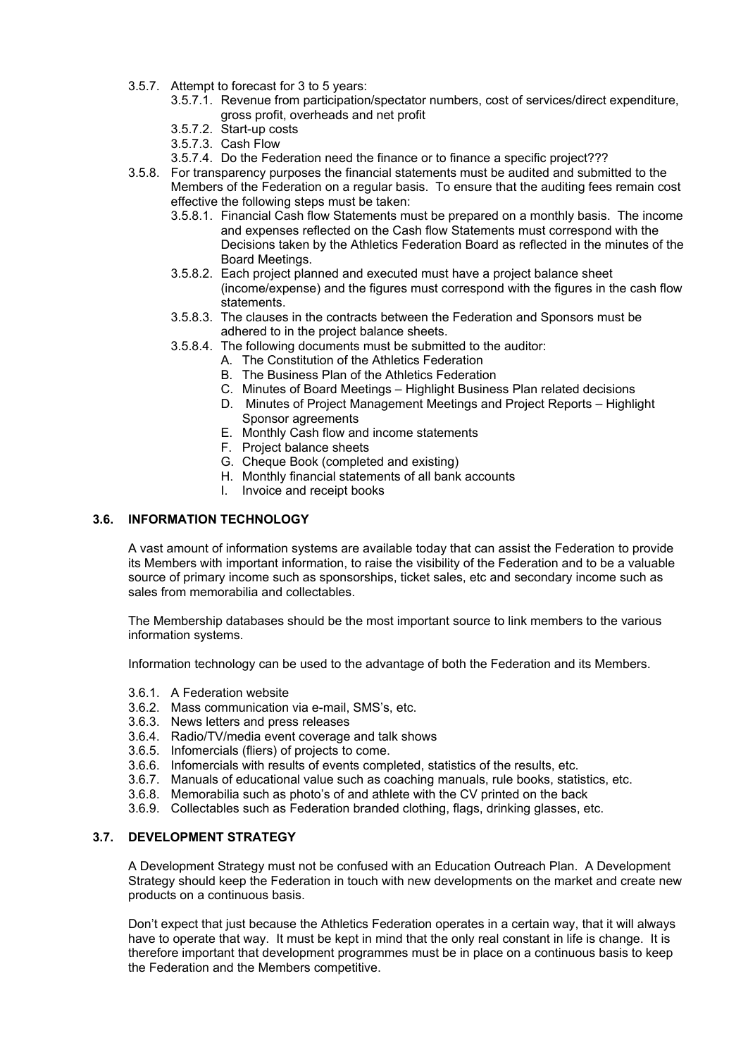- 3.5.7. Attempt to forecast for 3 to 5 years:
	- 3.5.7.1. Revenue from participation/spectator numbers, cost of services/direct expenditure, gross profit, overheads and net profit
	- 3.5.7.2. Start-up costs
	- 3.5.7.3. Cash Flow
	- 3.5.7.4. Do the Federation need the finance or to finance a specific project???
- 3.5.8. For transparency purposes the financial statements must be audited and submitted to the Members of the Federation on a regular basis. To ensure that the auditing fees remain cost effective the following steps must be taken:
	- 3.5.8.1. Financial Cash flow Statements must be prepared on a monthly basis. The income and expenses reflected on the Cash flow Statements must correspond with the Decisions taken by the Athletics Federation Board as reflected in the minutes of the Board Meetings.
	- 3.5.8.2. Each project planned and executed must have a project balance sheet (income/expense) and the figures must correspond with the figures in the cash flow statements.
	- 3.5.8.3. The clauses in the contracts between the Federation and Sponsors must be adhered to in the project balance sheets.
	- 3.5.8.4. The following documents must be submitted to the auditor:
		- A. The Constitution of the Athletics Federation
		- B. The Business Plan of the Athletics Federation
		- C. Minutes of Board Meetings Highlight Business Plan related decisions
		- D. Minutes of Project Management Meetings and Project Reports Highlight Sponsor agreements
		- E. Monthly Cash flow and income statements
		- F. Project balance sheets
		- G. Cheque Book (completed and existing)
		- H. Monthly financial statements of all bank accounts
		- I. Invoice and receipt books

## **3.6. INFORMATION TECHNOLOGY**

A vast amount of information systems are available today that can assist the Federation to provide its Members with important information, to raise the visibility of the Federation and to be a valuable source of primary income such as sponsorships, ticket sales, etc and secondary income such as sales from memorabilia and collectables.

The Membership databases should be the most important source to link members to the various information systems.

Information technology can be used to the advantage of both the Federation and its Members.

- 3.6.1. A Federation website
- 3.6.2. Mass communication via e-mail, SMS's, etc.
- 3.6.3. News letters and press releases
- 3.6.4. Radio/TV/media event coverage and talk shows
- 3.6.5. Infomercials (fliers) of projects to come.
- 3.6.6. Infomercials with results of events completed, statistics of the results, etc.
- 3.6.7. Manuals of educational value such as coaching manuals, rule books, statistics, etc.
- 3.6.8. Memorabilia such as photo's of and athlete with the CV printed on the back
- 3.6.9. Collectables such as Federation branded clothing, flags, drinking glasses, etc.

## **3.7. DEVELOPMENT STRATEGY**

A Development Strategy must not be confused with an Education Outreach Plan. A Development Strategy should keep the Federation in touch with new developments on the market and create new products on a continuous basis.

Don't expect that just because the Athletics Federation operates in a certain way, that it will always have to operate that way. It must be kept in mind that the only real constant in life is change. It is therefore important that development programmes must be in place on a continuous basis to keep the Federation and the Members competitive.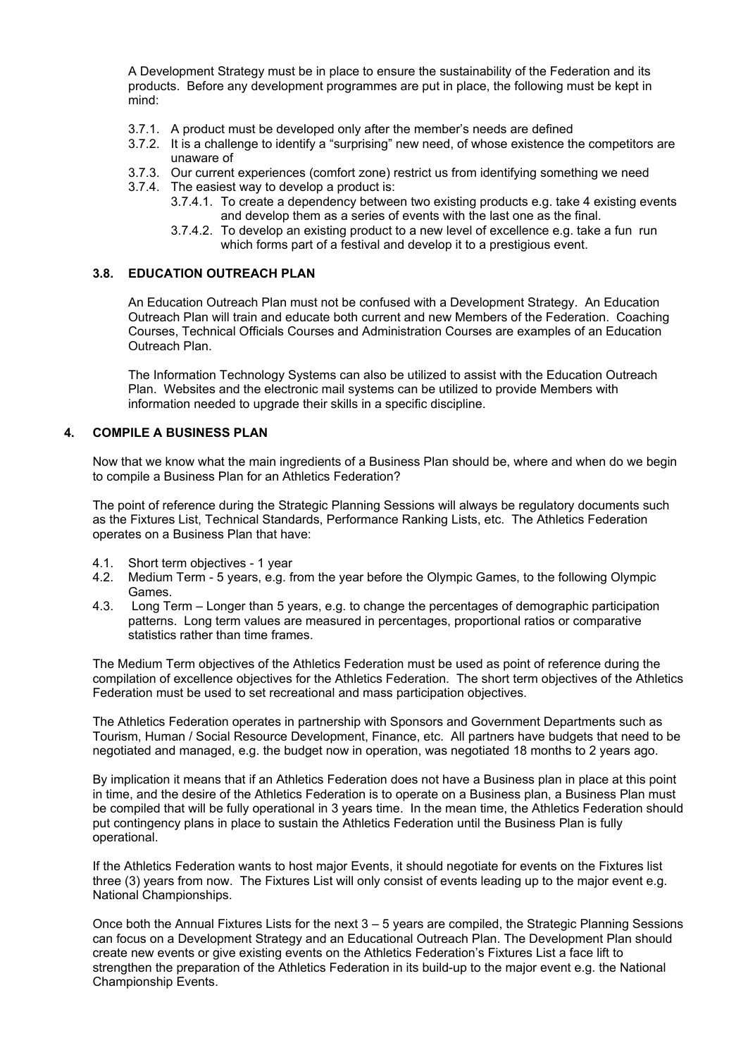A Development Strategy must be in place to ensure the sustainability of the Federation and its products. Before any development programmes are put in place, the following must be kept in mind:

- 3.7.1. A product must be developed only after the member's needs are defined
- 3.7.2. It is a challenge to identify a "surprising" new need, of whose existence the competitors are unaware of
- 3.7.3. Our current experiences (comfort zone) restrict us from identifying something we need
- 3.7.4. The easiest way to develop a product is:
	- 3.7.4.1. To create a dependency between two existing products e.g. take 4 existing events and develop them as a series of events with the last one as the final.
	- 3.7.4.2. To develop an existing product to a new level of excellence e.g. take a fun run which forms part of a festival and develop it to a prestigious event.

## **3.8. EDUCATION OUTREACH PLAN**

An Education Outreach Plan must not be confused with a Development Strategy. An Education Outreach Plan will train and educate both current and new Members of the Federation. Coaching Courses, Technical Officials Courses and Administration Courses are examples of an Education Outreach Plan.

The Information Technology Systems can also be utilized to assist with the Education Outreach Plan. Websites and the electronic mail systems can be utilized to provide Members with information needed to upgrade their skills in a specific discipline.

#### **4. COMPILE A BUSINESS PLAN**

Now that we know what the main ingredients of a Business Plan should be, where and when do we begin to compile a Business Plan for an Athletics Federation?

The point of reference during the Strategic Planning Sessions will always be regulatory documents such as the Fixtures List, Technical Standards, Performance Ranking Lists, etc. The Athletics Federation operates on a Business Plan that have:

- 4.1. Short term objectives 1 year
- 4.2. Medium Term 5 years, e.g. from the year before the Olympic Games, to the following Olympic Games.
- 4.3. Long Term Longer than 5 years, e.g. to change the percentages of demographic participation patterns. Long term values are measured in percentages, proportional ratios or comparative statistics rather than time frames.

The Medium Term objectives of the Athletics Federation must be used as point of reference during the compilation of excellence objectives for the Athletics Federation. The short term objectives of the Athletics Federation must be used to set recreational and mass participation objectives.

The Athletics Federation operates in partnership with Sponsors and Government Departments such as Tourism, Human / Social Resource Development, Finance, etc. All partners have budgets that need to be negotiated and managed, e.g. the budget now in operation, was negotiated 18 months to 2 years ago.

By implication it means that if an Athletics Federation does not have a Business plan in place at this point in time, and the desire of the Athletics Federation is to operate on a Business plan, a Business Plan must be compiled that will be fully operational in 3 years time. In the mean time, the Athletics Federation should put contingency plans in place to sustain the Athletics Federation until the Business Plan is fully operational.

If the Athletics Federation wants to host major Events, it should negotiate for events on the Fixtures list three (3) years from now. The Fixtures List will only consist of events leading up to the major event e.g. National Championships.

Once both the Annual Fixtures Lists for the next 3 – 5 years are compiled, the Strategic Planning Sessions can focus on a Development Strategy and an Educational Outreach Plan. The Development Plan should create new events or give existing events on the Athletics Federation's Fixtures List a face lift to strengthen the preparation of the Athletics Federation in its build-up to the major event e.g. the National Championship Events.